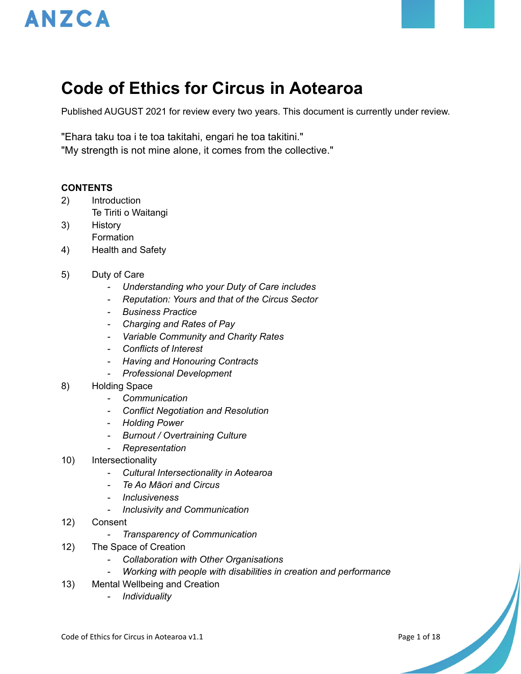



Published AUGUST 2021 for review every two years. This document is currently under review.

"Ehara taku toa i te toa takitahi, engari he toa takitini." "My strength is not mine alone, it comes from the collective."

#### **CONTENTS**

- 2) Introduction Te Tiriti o Waitangi
- 3) History Formation
- 4) Health and Safety
- 5) Duty of Care
	- *- Understanding who your Duty of Care includes*
	- *- Reputation: Yours and that of the Circus Sector*
	- *- Business Practice*
	- *- Charging and Rates of Pay*
	- *- Variable Community and Charity Rates*
	- *- Conflicts of Interest*
	- *- Having and Honouring Contracts*
	- *- Professional Development*
- 8) Holding Space
	- *- Communication*
	- *- Conflict Negotiation and Resolution*
	- *Holding Power*
	- *- Burnout / Overtraining Culture*
	- *- Representation*
- 10) Intersectionality
	- *- Cultural Intersectionality in Aotearoa*
	- *- Te Ao Māori and Circus*
	- *- Inclusiveness*
	- *- Inclusivity and Communication*
- 12) Consent
	- *- Transparency of Communication*
- 12) The Space of Creation
	- *- Collaboration with Other Organisations*
	- *- Working with people with disabilities in creation and performance*
- 13) Mental Wellbeing and Creation
	- *- Individuality*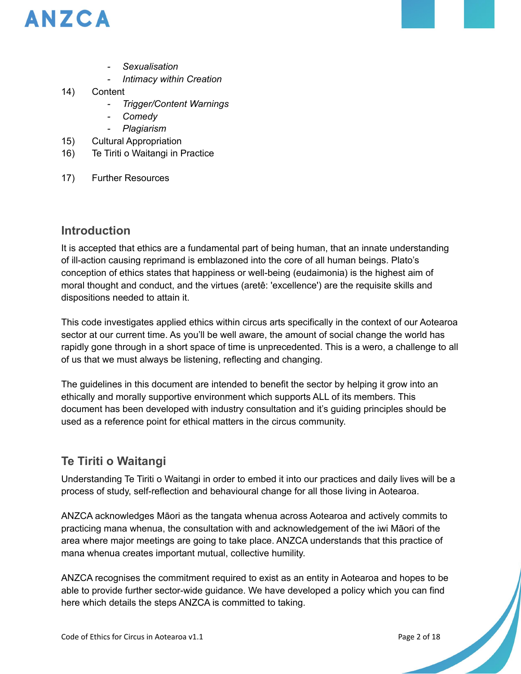

- *- Sexualisation*
- *- Intimacy within Creation*
- 14) Content
	- *- Trigger/Content Warnings*
	- *- Comedy*
	- *- Plagiarism*
- 15) Cultural Appropriation
- 16) Te Tiriti o Waitangi in Practice
- 17) Further Resources

# **Introduction**

It is accepted that ethics are a fundamental part of being human, that an innate understanding of ill-action causing reprimand is emblazoned into the core of all human beings. Plato's conception of ethics states that happiness or well-being (eudaimonia) is the highest aim of moral thought and conduct, and the virtues (aretê: 'excellence') are the requisite skills and dispositions needed to attain it.

This code investigates applied ethics within circus arts specifically in the context of our Aotearoa sector at our current time. As you'll be well aware, the amount of social change the world has rapidly gone through in a short space of time is unprecedented. This is a wero, a challenge to all of us that we must always be listening, reflecting and changing.

The guidelines in this document are intended to benefit the sector by helping it grow into an ethically and morally supportive environment which supports ALL of its members. This document has been developed with industry consultation and it's guiding principles should be used as a reference point for ethical matters in the circus community.

# **Te Tiriti o Waitangi**

Understanding Te Tiriti o Waitangi in order to embed it into our practices and daily lives will be a process of study, self-reflection and behavioural change for all those living in Aotearoa.

ANZCA acknowledges Māori as the tangata whenua across Aotearoa and actively commits to practicing mana whenua, the consultation with and acknowledgement of the iwi Māori of the area where major meetings are going to take place. ANZCA understands that this practice of mana whenua creates important mutual, collective humility.

ANZCA recognises the commitment required to exist as an entity in Aotearoa and hopes to be able to provide further sector-wide guidance. We have developed a policy which you can find here which details the steps ANZCA is committed to taking.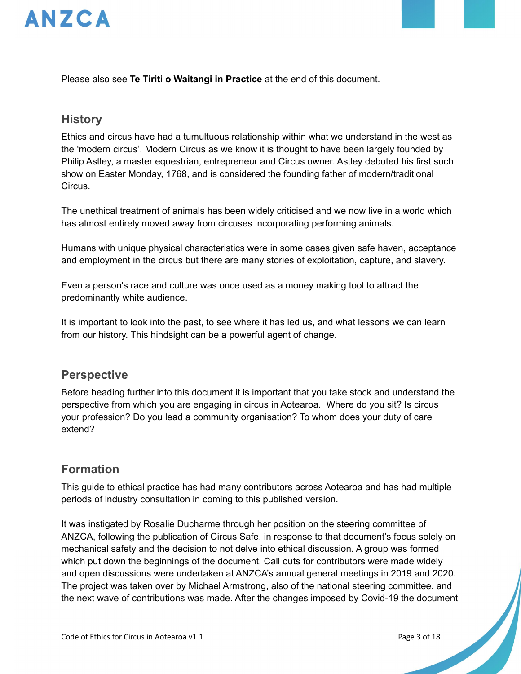

Please also see **Te Tiriti o Waitangi in Practice** at the end of this document.

### **History**

Ethics and circus have had a tumultuous relationship within what we understand in the west as the 'modern circus'. Modern Circus as we know it is thought to have been largely founded by Philip Astley, a master equestrian, entrepreneur and Circus owner. Astley debuted his first such show on Easter Monday, 1768, and is considered the founding father of modern/traditional Circus.

The unethical treatment of animals has been widely criticised and we now live in a world which has almost entirely moved away from circuses incorporating performing animals.

Humans with unique physical characteristics were in some cases given safe haven, acceptance and employment in the circus but there are many stories of exploitation, capture, and slavery.

Even a person's race and culture was once used as a money making tool to attract the predominantly white audience.

It is important to look into the past, to see where it has led us, and what lessons we can learn from our history. This hindsight can be a powerful agent of change.

### **Perspective**

Before heading further into this document it is important that you take stock and understand the perspective from which you are engaging in circus in Aotearoa. Where do you sit? Is circus your profession? Do you lead a community organisation? To whom does your duty of care extend?

# **Formation**

This guide to ethical practice has had many contributors across Aotearoa and has had multiple periods of industry consultation in coming to this published version.

It was instigated by Rosalie Ducharme through her position on the steering committee of ANZCA, following the publication of Circus Safe, in response to that document's focus solely on mechanical safety and the decision to not delve into ethical discussion. A group was formed which put down the beginnings of the document. Call outs for contributors were made widely and open discussions were undertaken at ANZCA's annual general meetings in 2019 and 2020. The project was taken over by Michael Armstrong, also of the national steering committee, and the next wave of contributions was made. After the changes imposed by Covid-19 the document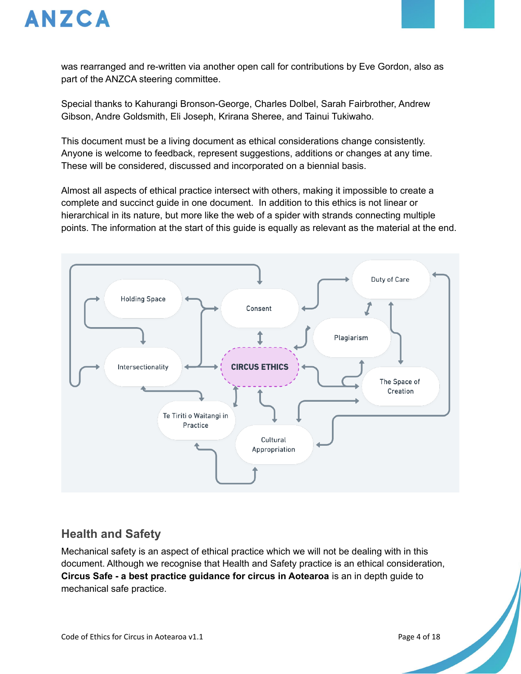

was rearranged and re-written via another open call for contributions by Eve Gordon, also as part of the ANZCA steering committee.

Special thanks to Kahurangi Bronson-George, Charles Dolbel, Sarah Fairbrother, Andrew Gibson, Andre Goldsmith, Eli Joseph, Krirana Sheree, and Tainui Tukiwaho.

This document must be a living document as ethical considerations change consistently. Anyone is welcome to feedback, represent suggestions, additions or changes at any time. These will be considered, discussed and incorporated on a biennial basis.

Almost all aspects of ethical practice intersect with others, making it impossible to create a complete and succinct guide in one document. In addition to this ethics is not linear or hierarchical in its nature, but more like the web of a spider with strands connecting multiple points. The information at the start of this guide is equally as relevant as the material at the end.



# **Health and Safety**

Mechanical safety is an aspect of ethical practice which we will not be dealing with in this document. Although we recognise that Health and Safety practice is an ethical consideration, **Circus Safe - a best practice guidance for circus in Aotearoa** is an in depth guide to mechanical safe practice.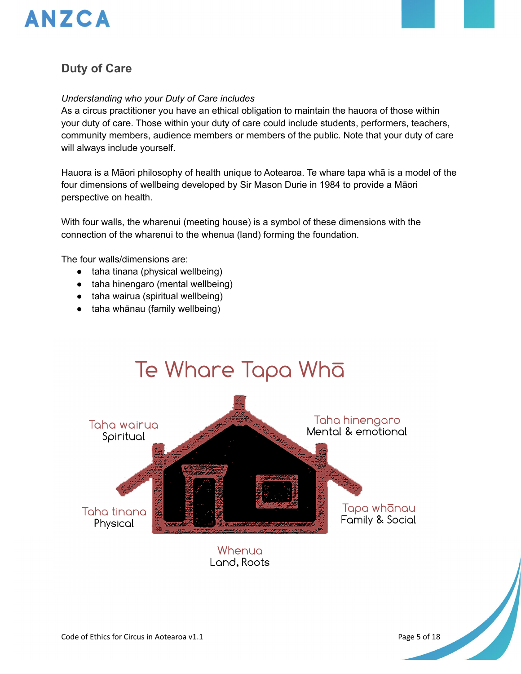

### **Duty of Care**

#### *Understanding who your Duty of Care includes*

As a circus practitioner you have an ethical obligation to maintain the hauora of those within your duty of care. Those within your duty of care could include students, performers, teachers, community members, audience members or members of the public. Note that your duty of care will always include yourself.

Hauora is a Māori philosophy of health unique to Aotearoa. Te whare tapa whā is a model of the four dimensions of wellbeing developed by Sir Mason Durie in 1984 to provide a Māori perspective on health.

With four walls, the wharenui (meeting house) is a symbol of these dimensions with the connection of the wharenui to the whenua (land) forming the foundation.

The four walls/dimensions are:

- taha tinana (physical wellbeing)
- taha hinengaro (mental wellbeing)
- taha wairua (spiritual wellbeing)
- taha whānau (family wellbeing)

# Te Whare Tapa Whā Taha hinengaro Taha wairua Mental & emotional Spiritual Tapa whānau Taha tinana Family & Social Physical

Whenua Land, Roots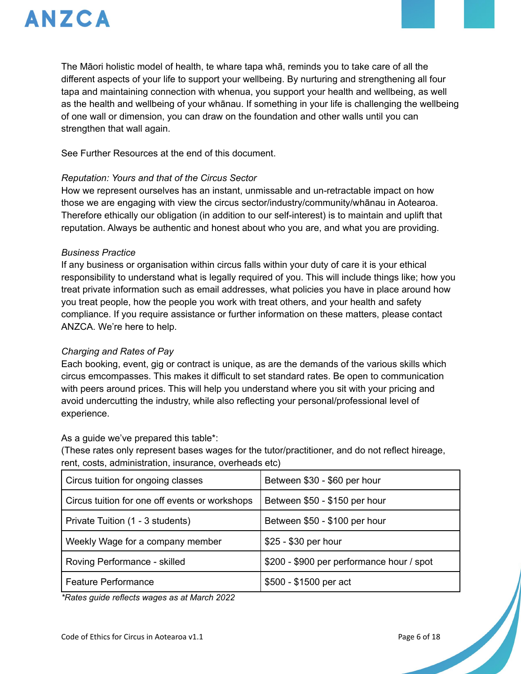

The Māori holistic model of health, te whare tapa whā, reminds you to take care of all the different aspects of your life to support your wellbeing. By nurturing and strengthening all four tapa and maintaining connection with whenua, you support your health and wellbeing, as well as the health and wellbeing of your whānau. If something in your life is challenging the wellbeing of one wall or dimension, you can draw on the foundation and other walls until you can strengthen that wall again.

See Further Resources at the end of this document.

#### *Reputation: Yours and that of the Circus Sector*

How we represent ourselves has an instant, unmissable and un-retractable impact on how those we are engaging with view the circus sector/industry/community/whānau in Aotearoa. Therefore ethically our obligation (in addition to our self-interest) is to maintain and uplift that reputation. Always be authentic and honest about who you are, and what you are providing.

#### *Business Practice*

If any business or organisation within circus falls within your duty of care it is your ethical responsibility to understand what is legally required of you. This will include things like; how you treat private information such as email addresses, what policies you have in place around how you treat people, how the people you work with treat others, and your health and safety compliance. If you require assistance or further information on these matters, please contact ANZCA. We're here to help.

#### *Charging and Rates of Pay*

Each booking, event, gig or contract is unique, as are the demands of the various skills which circus emcompasses. This makes it difficult to set standard rates. Be open to communication with peers around prices. This will help you understand where you sit with your pricing and avoid undercutting the industry, while also reflecting your personal/professional level of experience.

As a guide we've prepared this table\*:

(These rates only represent bases wages for the tutor/practitioner, and do not reflect hireage, rent, costs, administration, insurance, overheads etc)

| Circus tuition for ongoing classes             | Between \$30 - \$60 per hour              |
|------------------------------------------------|-------------------------------------------|
| Circus tuition for one off events or workshops | Between \$50 - \$150 per hour             |
| Private Tuition (1 - 3 students)               | Between \$50 - \$100 per hour             |
| Weekly Wage for a company member               | \$25 - \$30 per hour                      |
| Roving Performance - skilled                   | \$200 - \$900 per performance hour / spot |
| <b>Feature Performance</b>                     | \$500 - \$1500 per act                    |

*\*Rates guide reflects wages as at March 2022*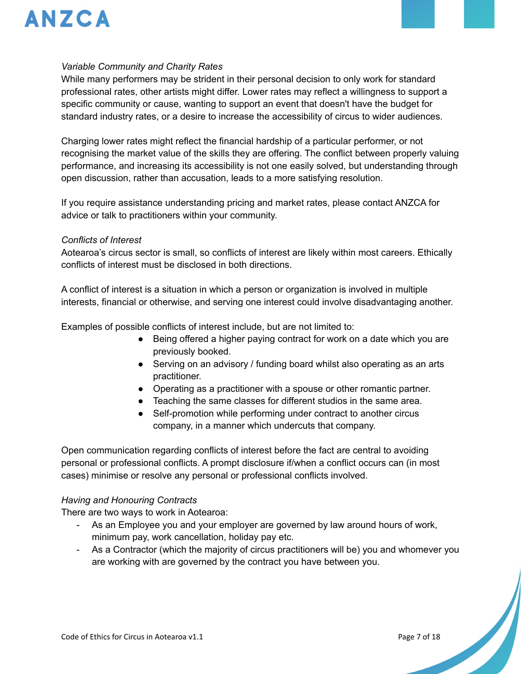

#### *Variable Community and Charity Rates*

While many performers may be strident in their personal decision to only work for standard professional rates, other artists might differ. Lower rates may reflect a willingness to support a specific community or cause, wanting to support an event that doesn't have the budget for standard industry rates, or a desire to increase the accessibility of circus to wider audiences.

Charging lower rates might reflect the financial hardship of a particular performer, or not recognising the market value of the skills they are offering. The conflict between properly valuing performance, and increasing its accessibility is not one easily solved, but understanding through open discussion, rather than accusation, leads to a more satisfying resolution.

If you require assistance understanding pricing and market rates, please contact ANZCA for advice or talk to practitioners within your community.

#### *Conflicts of Interest*

Aotearoa's circus sector is small, so conflicts of interest are likely within most careers. Ethically conflicts of interest must be disclosed in both directions.

A conflict of interest is a situation in which a person or organization is involved in multiple interests, financial or otherwise, and serving one interest could involve disadvantaging another.

Examples of possible conflicts of interest include, but are not limited to:

- Being offered a higher paying contract for work on a date which you are previously booked.
- Serving on an advisory / funding board whilst also operating as an arts practitioner.
- Operating as a practitioner with a spouse or other romantic partner.
- Teaching the same classes for different studios in the same area.
- Self-promotion while performing under contract to another circus company, in a manner which undercuts that company.

Open communication regarding conflicts of interest before the fact are central to avoiding personal or professional conflicts. A prompt disclosure if/when a conflict occurs can (in most cases) minimise or resolve any personal or professional conflicts involved.

#### *Having and Honouring Contracts*

There are two ways to work in Aotearoa:

- As an Employee you and your employer are governed by law around hours of work, minimum pay, work cancellation, holiday pay etc.
- As a Contractor (which the majority of circus practitioners will be) you and whomever you are working with are governed by the contract you have between you.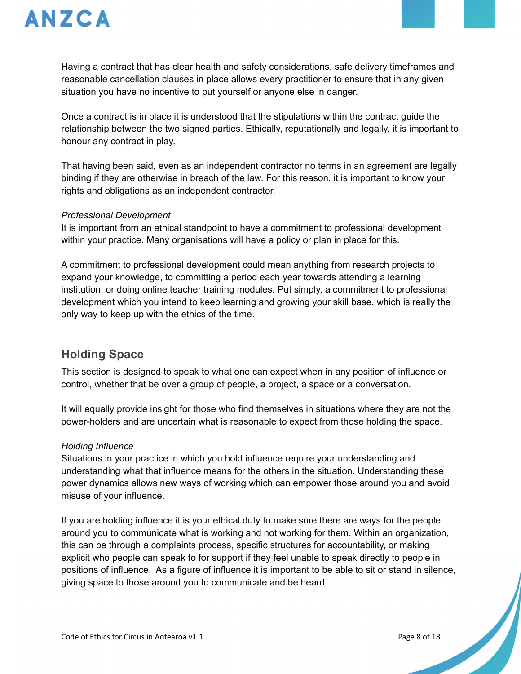

Having a contract that has clear health and safety considerations, safe delivery timeframes and reasonable cancellation clauses in place allows every practitioner to ensure that in any given situation you have no incentive to put yourself or anyone else in danger.

Once a contract is in place it is understood that the stipulations within the contract guide the relationship between the two signed parties. Ethically, reputationally and legally, it is important to honour any contract in play.

That having been said, even as an independent contractor no terms in an agreement are legally binding if they are otherwise in breach of the law. For this reason, it is important to know your rights and obligations as an independent contractor.

#### *Professional Development*

It is important from an ethical standpoint to have a commitment to professional development within your practice. Many organisations will have a policy or plan in place for this.

A commitment to professional development could mean anything from research projects to expand your knowledge, to committing a period each year towards attending a learning institution, or doing online teacher training modules. Put simply, a commitment to professional development which you intend to keep learning and growing your skill base, which is really the only way to keep up with the ethics of the time.

# **Holding Space**

This section is designed to speak to what one can expect when in any position of influence or control, whether that be over a group of people, a project, a space or a conversation.

It will equally provide insight for those who find themselves in situations where they are not the power-holders and are uncertain what is reasonable to expect from those holding the space.

#### *Holding Influence*

Situations in your practice in which you hold influence require your understanding and understanding what that influence means for the others in the situation. Understanding these power dynamics allows new ways of working which can empower those around you and avoid misuse of your influence.

If you are holding influence it is your ethical duty to make sure there are ways for the people around you to communicate what is working and not working for them. Within an organization, this can be through a complaints process, specific structures for accountability, or making explicit who people can speak to for support if they feel unable to speak directly to people in positions of influence. As a figure of influence it is important to be able to sit or stand in silence, giving space to those around you to communicate and be heard.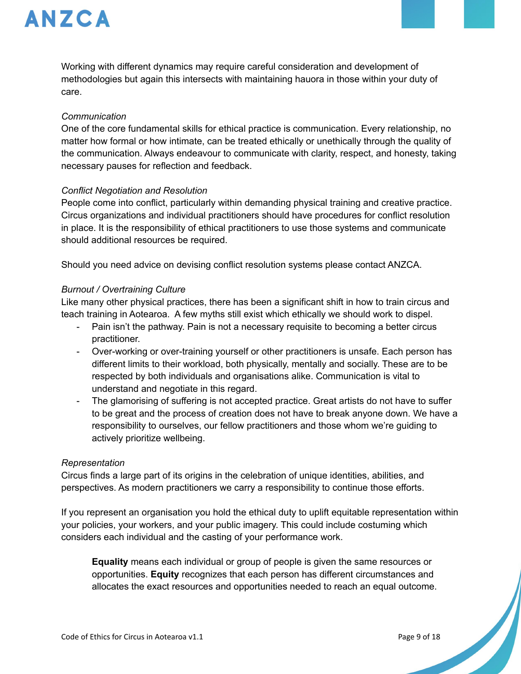

Working with different dynamics may require careful consideration and development of methodologies but again this intersects with maintaining hauora in those within your duty of care.

#### *Communication*

One of the core fundamental skills for ethical practice is communication. Every relationship, no matter how formal or how intimate, can be treated ethically or unethically through the quality of the communication. Always endeavour to communicate with clarity, respect, and honesty, taking necessary pauses for reflection and feedback.

#### *Conflict Negotiation and Resolution*

People come into conflict, particularly within demanding physical training and creative practice. Circus organizations and individual practitioners should have procedures for conflict resolution in place. It is the responsibility of ethical practitioners to use those systems and communicate should additional resources be required.

Should you need advice on devising conflict resolution systems please contact ANZCA.

#### *Burnout / Overtraining Culture*

Like many other physical practices, there has been a significant shift in how to train circus and teach training in Aotearoa. A few myths still exist which ethically we should work to dispel.

- Pain isn't the pathway. Pain is not a necessary requisite to becoming a better circus practitioner.
- Over-working or over-training yourself or other practitioners is unsafe. Each person has different limits to their workload, both physically, mentally and socially. These are to be respected by both individuals and organisations alike. Communication is vital to understand and negotiate in this regard.
- The glamorising of suffering is not accepted practice. Great artists do not have to suffer to be great and the process of creation does not have to break anyone down. We have a responsibility to ourselves, our fellow practitioners and those whom we're guiding to actively prioritize wellbeing.

#### *Representation*

Circus finds a large part of its origins in the celebration of unique identities, abilities, and perspectives. As modern practitioners we carry a responsibility to continue those efforts.

If you represent an organisation you hold the ethical duty to uplift equitable representation within your policies, your workers, and your public imagery. This could include costuming which considers each individual and the casting of your performance work.

**Equality** means each individual or group of people is given the same resources or opportunities. **Equity** recognizes that each person has different circumstances and allocates the exact resources and opportunities needed to reach an equal outcome.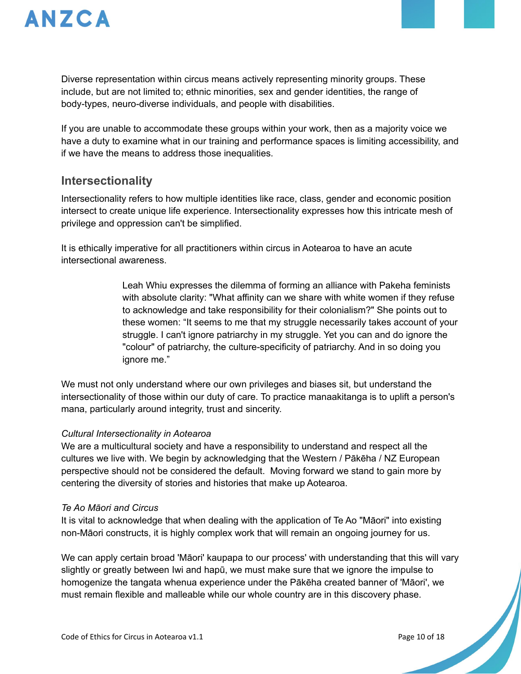

Diverse representation within circus means actively representing minority groups. These include, but are not limited to; ethnic minorities, sex and gender identities, the range of body-types, neuro-diverse individuals, and people with disabilities.

If you are unable to accommodate these groups within your work, then as a majority voice we have a duty to examine what in our training and performance spaces is limiting accessibility, and if we have the means to address those inequalities.

### **Intersectionality**

Intersectionality refers to how multiple identities like race, class, gender and economic position intersect to create unique life experience. Intersectionality expresses how this intricate mesh of privilege and oppression can't be simplified.

It is ethically imperative for all practitioners within circus in Aotearoa to have an acute intersectional awareness.

> Leah Whiu expresses the dilemma of forming an alliance with Pakeha feminists with absolute clarity: "What affinity can we share with white women if they refuse to acknowledge and take responsibility for their colonialism?" She points out to these women: "It seems to me that my struggle necessarily takes account of your struggle. I can't ignore patriarchy in my struggle. Yet you can and do ignore the "colour" of patriarchy, the culture-specificity of patriarchy. And in so doing you ignore me."

We must not only understand where our own privileges and biases sit, but understand the intersectionality of those within our duty of care. To practice manaakitanga is to uplift a person's mana, particularly around integrity, trust and sincerity.

#### *Cultural Intersectionality in Aotearoa*

We are a multicultural society and have a responsibility to understand and respect all the cultures we live with. We begin by acknowledging that the Western / Pākēha / NZ European perspective should not be considered the default. Moving forward we stand to gain more by centering the diversity of stories and histories that make up Aotearoa.

#### *Te Ao Māori and Circus*

It is vital to acknowledge that when dealing with the application of Te Ao "Māori" into existing non-Māori constructs, it is highly complex work that will remain an ongoing journey for us.

We can apply certain broad 'Māori' kaupapa to our process' with understanding that this will vary slightly or greatly between Iwi and hapū, we must make sure that we ignore the impulse to homogenize the tangata whenua experience under the Pākēha created banner of 'Māori', we must remain flexible and malleable while our whole country are in this discovery phase.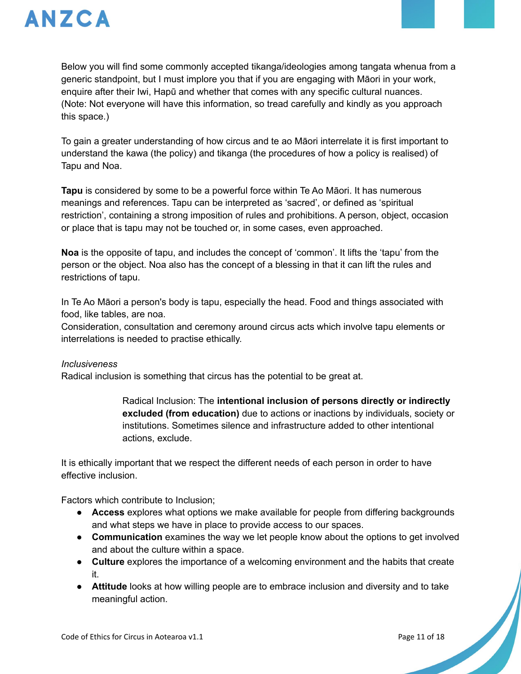

Below you will find some commonly accepted tikanga/ideologies among tangata whenua from a generic standpoint, but I must implore you that if you are engaging with Māori in your work, enquire after their Iwi, Hapū and whether that comes with any specific cultural nuances. (Note: Not everyone will have this information, so tread carefully and kindly as you approach this space.)

To gain a greater understanding of how circus and te ao Māori interrelate it is first important to understand the kawa (the policy) and tikanga (the procedures of how a policy is realised) of Tapu and Noa.

**Tapu** is considered by some to be a powerful force within Te Ao Māori. It has numerous meanings and references. Tapu can be interpreted as 'sacred', or defined as 'spiritual restriction', containing a strong imposition of rules and prohibitions. A person, object, occasion or place that is tapu may not be touched or, in some cases, even approached.

**Noa** is the opposite of tapu, and includes the concept of 'common'. It lifts the 'tapu' from the person or the object. Noa also has the concept of a blessing in that it can lift the rules and restrictions of tapu.

In Te Ao Māori a person's body is tapu, especially the head. Food and things associated with food, like tables, are noa.

Consideration, consultation and ceremony around circus acts which involve tapu elements or interrelations is needed to practise ethically.

#### *Inclusiveness*

Radical inclusion is something that circus has the potential to be great at.

Radical Inclusion: The **intentional inclusion of persons directly or indirectly excluded (from education)** due to actions or inactions by individuals, society or institutions. Sometimes silence and infrastructure added to other intentional actions, exclude.

It is ethically important that we respect the different needs of each person in order to have effective inclusion.

Factors which contribute to Inclusion;

- **Access** explores what options we make available for people from differing backgrounds and what steps we have in place to provide access to our spaces.
- **Communication** examines the way we let people know about the options to get involved and about the culture within a space.
- **Culture** explores the importance of a welcoming environment and the habits that create it.
- **Attitude** looks at how willing people are to embrace inclusion and diversity and to take meaningful action.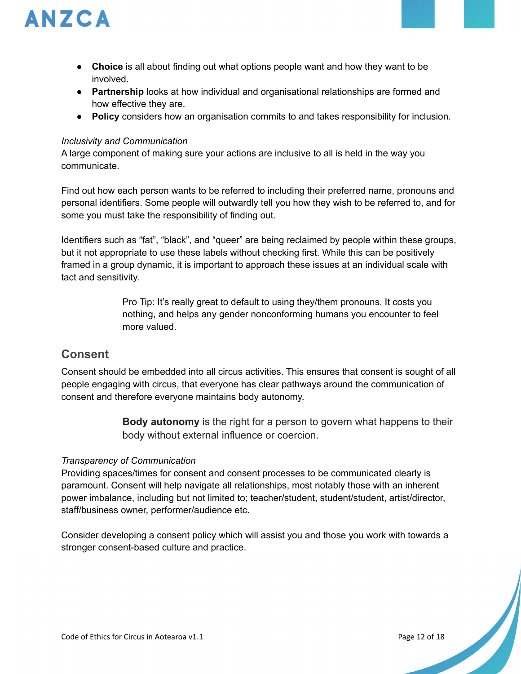

- **Choice** is all about finding out what options people want and how they want to be involved.
- **Partnership** looks at how individual and organisational relationships are formed and how effective they are.
- **Policy** considers how an organisation commits to and takes responsibility for inclusion.

#### *Inclusivity and Communication*

A large component of making sure your actions are inclusive to all is held in the way you communicate.

Find out how each person wants to be referred to including their preferred name, pronouns and personal identifiers. Some people will outwardly tell you how they wish to be referred to, and for some you must take the responsibility of finding out.

Identifiers such as "fat", "black", and "queer" are being reclaimed by people within these groups, but it not appropriate to use these labels without checking first. While this can be positively framed in a group dynamic, it is important to approach these issues at an individual scale with tact and sensitivity.

> Pro Tip: It's really great to default to using they/them pronouns. It costs you nothing, and helps any gender nonconforming humans you encounter to feel more valued.

# **Consent**

Consent should be embedded into all circus activities. This ensures that consent is sought of all people engaging with circus, that everyone has clear pathways around the communication of consent and therefore everyone maintains body autonomy.

> **Body autonomy** is the right for a person to govern what happens to their body without external influence or coercion.

#### *Transparency of Communication*

Providing spaces/times for consent and consent processes to be communicated clearly is paramount. Consent will help navigate all relationships, most notably those with an inherent power imbalance, including but not limited to; teacher/student, student/student, artist/director, staff/business owner, performer/audience etc.

Consider developing a consent policy which will assist you and those you work with towards a stronger consent-based culture and practice.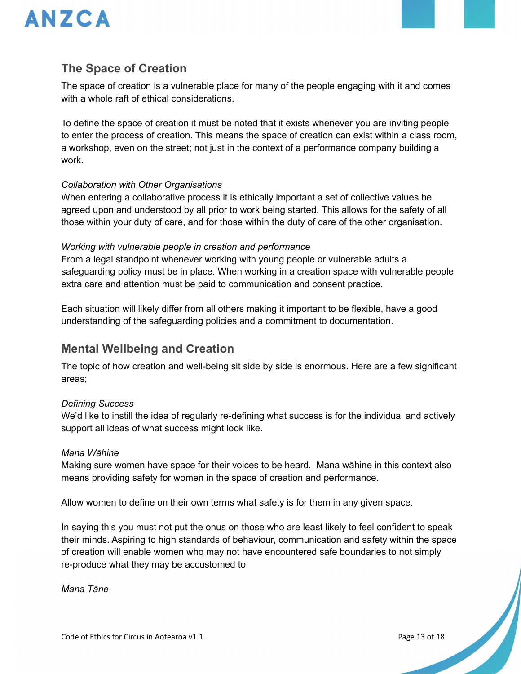

# **The Space of Creation**

The space of creation is a vulnerable place for many of the people engaging with it and comes with a whole raft of ethical considerations.

To define the space of creation it must be noted that it exists whenever you are inviting people to enter the process of creation. This means the space of creation can exist within a class room, a workshop, even on the street; not just in the context of a performance company building a work.

#### *Collaboration with Other Organisations*

When entering a collaborative process it is ethically important a set of collective values be agreed upon and understood by all prior to work being started. This allows for the safety of all those within your duty of care, and for those within the duty of care of the other organisation.

#### *Working with vulnerable people in creation and performance*

From a legal standpoint whenever working with young people or vulnerable adults a safeguarding policy must be in place. When working in a creation space with vulnerable people extra care and attention must be paid to communication and consent practice.

Each situation will likely differ from all others making it important to be flexible, have a good understanding of the safeguarding policies and a commitment to documentation.

### **Mental Wellbeing and Creation**

The topic of how creation and well-being sit side by side is enormous. Here are a few significant areas;

#### *Defining Success*

We'd like to instill the idea of regularly re-defining what success is for the individual and actively support all ideas of what success might look like.

#### *Mana Wāhine*

Making sure women have space for their voices to be heard. Mana wāhine in this context also means providing safety for women in the space of creation and performance.

Allow women to define on their own terms what safety is for them in any given space.

In saying this you must not put the onus on those who are least likely to feel confident to speak their minds. Aspiring to high standards of behaviour, communication and safety within the space of creation will enable women who may not have encountered safe boundaries to not simply re-produce what they may be accustomed to.

*Mana Tāne*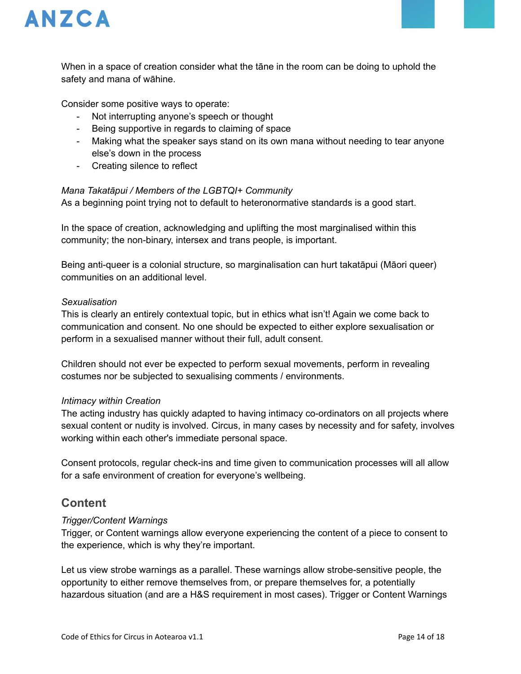

When in a space of creation consider what the tāne in the room can be doing to uphold the safety and mana of wāhine.

Consider some positive ways to operate:

- Not interrupting anyone's speech or thought
- Being supportive in regards to claiming of space
- Making what the speaker says stand on its own mana without needing to tear anyone else's down in the process
- Creating silence to reflect

#### *Mana Takatāpui / Members of the LGBTQI+ Community*

As a beginning point trying not to default to heteronormative standards is a good start.

In the space of creation, acknowledging and uplifting the most marginalised within this community; the non-binary, intersex and trans people, is important.

Being anti-queer is a colonial structure, so marginalisation can hurt takatāpui (Māori queer) communities on an additional level.

#### *Sexualisation*

This is clearly an entirely contextual topic, but in ethics what isn't! Again we come back to communication and consent. No one should be expected to either explore sexualisation or perform in a sexualised manner without their full, adult consent.

Children should not ever be expected to perform sexual movements, perform in revealing costumes nor be subjected to sexualising comments / environments.

#### *Intimacy within Creation*

The acting industry has quickly adapted to having intimacy co-ordinators on all projects where sexual content or nudity is involved. Circus, in many cases by necessity and for safety, involves working within each other's immediate personal space.

Consent protocols, regular check-ins and time given to communication processes will all allow for a safe environment of creation for everyone's wellbeing.

### **Content**

#### *Trigger/Content Warnings*

Trigger, or Content warnings allow everyone experiencing the content of a piece to consent to the experience, which is why they're important.

Let us view strobe warnings as a parallel. These warnings allow strobe-sensitive people, the opportunity to either remove themselves from, or prepare themselves for, a potentially hazardous situation (and are a H&S requirement in most cases). Trigger or Content Warnings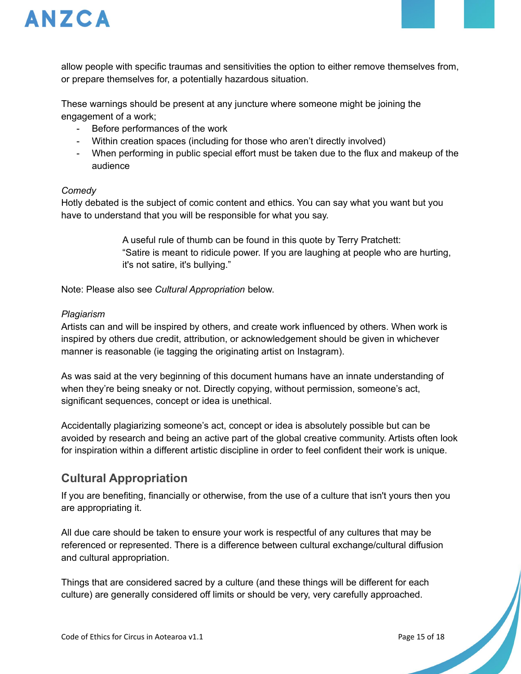

allow people with specific traumas and sensitivities the option to either remove themselves from, or prepare themselves for, a potentially hazardous situation.

These warnings should be present at any juncture where someone might be joining the engagement of a work;

- Before performances of the work
- Within creation spaces (including for those who aren't directly involved)
- When performing in public special effort must be taken due to the flux and makeup of the audience

#### *Comedy*

Hotly debated is the subject of comic content and ethics. You can say what you want but you have to understand that you will be responsible for what you say.

> A useful rule of thumb can be found in this quote by Terry Pratchett: "Satire is meant to ridicule power. If you are laughing at people who are hurting, it's not satire, it's bullying."

Note: Please also see *Cultural Appropriation* below.

#### *Plagiarism*

Artists can and will be inspired by others, and create work influenced by others. When work is inspired by others due credit, attribution, or acknowledgement should be given in whichever manner is reasonable (ie tagging the originating artist on Instagram).

As was said at the very beginning of this document humans have an innate understanding of when they're being sneaky or not. Directly copying, without permission, someone's act, significant sequences, concept or idea is unethical.

Accidentally plagiarizing someone's act, concept or idea is absolutely possible but can be avoided by research and being an active part of the global creative community. Artists often look for inspiration within a different artistic discipline in order to feel confident their work is unique.

# **Cultural Appropriation**

If you are benefiting, financially or otherwise, from the use of a culture that isn't yours then you are appropriating it.

All due care should be taken to ensure your work is respectful of any cultures that may be referenced or represented. There is a difference between cultural exchange/cultural diffusion and cultural appropriation.

Things that are considered sacred by a culture (and these things will be different for each culture) are generally considered off limits or should be very, very carefully approached.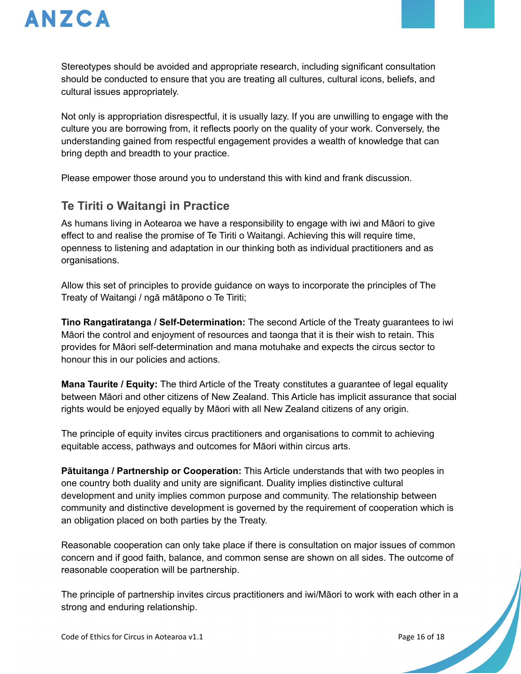

Stereotypes should be avoided and appropriate research, including significant consultation should be conducted to ensure that you are treating all cultures, cultural icons, beliefs, and cultural issues appropriately.

Not only is appropriation disrespectful, it is usually lazy. If you are unwilling to engage with the culture you are borrowing from, it reflects poorly on the quality of your work. Conversely, the understanding gained from respectful engagement provides a wealth of knowledge that can bring depth and breadth to your practice.

Please empower those around you to understand this with kind and frank discussion.

# **Te Tiriti o Waitangi in Practice**

As humans living in Aotearoa we have a responsibility to engage with iwi and Māori to give effect to and realise the promise of Te Tiriti o Waitangi. Achieving this will require time, openness to listening and adaptation in our thinking both as individual practitioners and as organisations.

Allow this set of principles to provide guidance on ways to incorporate the principles of The Treaty of Waitangi / ngā mātāpono o Te Tiriti;

**Tino Rangatiratanga / Self-Determination:** The second Article of the Treaty guarantees to iwi Māori the control and enjoyment of resources and taonga that it is their wish to retain. This provides for Māori self-determination and mana motuhake and expects the circus sector to honour this in our policies and actions.

**Mana Taurite / Equity:** The third Article of the Treaty constitutes a guarantee of legal equality between Māori and other citizens of New Zealand. This Article has implicit assurance that social rights would be enjoyed equally by Māori with all New Zealand citizens of any origin.

The principle of equity invites circus practitioners and organisations to commit to achieving equitable access, pathways and outcomes for Māori within circus arts.

**Pātuitanga / Partnership or Cooperation:** This Article understands that with two peoples in one country both duality and unity are significant. Duality implies distinctive cultural development and unity implies common purpose and community. The relationship between community and distinctive development is governed by the requirement of cooperation which is an obligation placed on both parties by the Treaty.

Reasonable cooperation can only take place if there is consultation on major issues of common concern and if good faith, balance, and common sense are shown on all sides. The outcome of reasonable cooperation will be partnership.

The principle of partnership invites circus practitioners and iwi/Māori to work with each other in a strong and enduring relationship.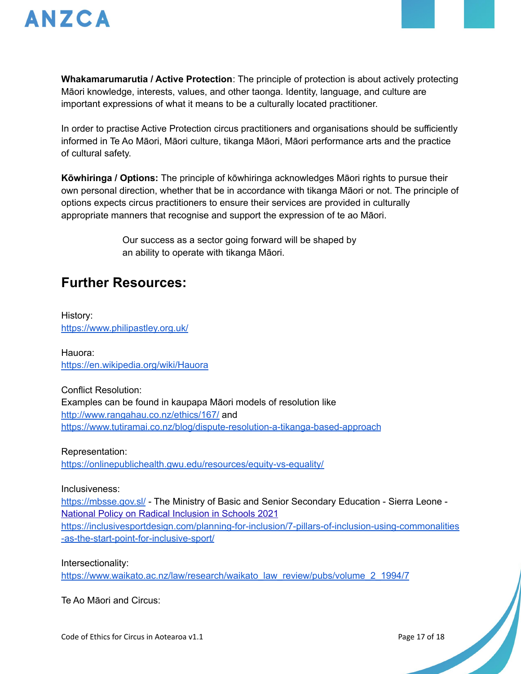

**Whakamarumarutia / Active Protection**: The principle of protection is about actively protecting Māori knowledge, interests, values, and other taonga. Identity, language, and culture are important expressions of what it means to be a culturally located practitioner.

In order to practise Active Protection circus practitioners and organisations should be sufficiently informed in Te Ao Māori, Māori culture, tikanga Māori, Māori performance arts and the practice of cultural safety.

**Kōwhiringa / Options:** The principle of kōwhiringa acknowledges Māori rights to pursue their own personal direction, whether that be in accordance with tikanga Māori or not. The principle of options expects circus practitioners to ensure their services are provided in culturally appropriate manners that recognise and support the expression of te ao Māori.

> Our success as a sector going forward will be shaped by an ability to operate with tikanga Māori.

# **Further Resources:**

History: <https://www.philipastley.org.uk/>

Hauora: <https://en.wikipedia.org/wiki/Hauora>

Conflict Resolution: Examples can be found in kaupapa Māori models of resolution like <http://www.rangahau.co.nz/ethics/167/> and <https://www.tutiramai.co.nz/blog/dispute-resolution-a-tikanga-based-approach>

Representation: <https://onlinepublichealth.gwu.edu/resources/equity-vs-equality/>

Inclusiveness:

<https://mbsse.gov.sl/> - The Ministry of Basic and Senior Secondary Education - Sierra Leone - National Policy on Radical [Inclusion](https://mbsse.gov.sl/wp-content/uploads/2021/04/Radical-Inclusion-Policy.pdf) in Schools 2021 [https://inclusivesportdesign.com/planning-for-inclusion/7-pillars-of-inclusion-using-commonalities](https://inclusivesportdesign.com/planning-for-inclusion/7-pillars-of-inclusion-using-commonalities-as-the-start-point-for-inclusive-sport/) [-as-the-start-point-for-inclusive-sport/](https://inclusivesportdesign.com/planning-for-inclusion/7-pillars-of-inclusion-using-commonalities-as-the-start-point-for-inclusive-sport/)

Intersectionality:

[https://www.waikato.ac.nz/law/research/waikato\\_law\\_review/pubs/volume\\_2\\_1994/7](https://www.waikato.ac.nz/law/research/waikato_law_review/pubs/volume_2_1994/7)

Te Ao Māori and Circus: